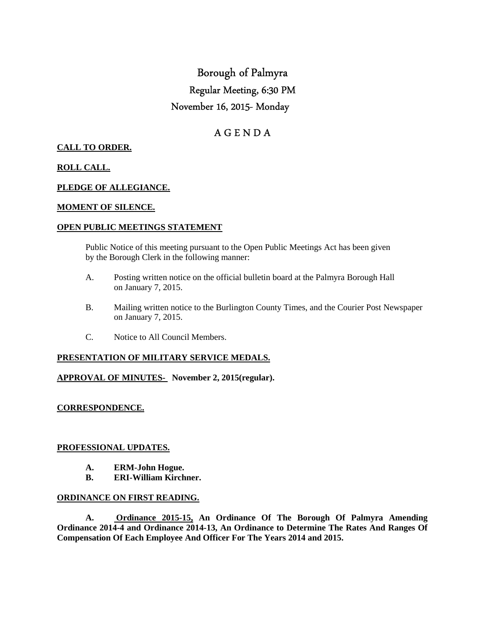# Borough of Palmyra Regular Meeting, 6:30 PM November 16, 2015- Monday

# A G E N D A

# **CALL TO ORDER.**

# **ROLL CALL.**

### **PLEDGE OF ALLEGIANCE.**

#### **MOMENT OF SILENCE.**

#### **OPEN PUBLIC MEETINGS STATEMENT**

 Public Notice of this meeting pursuant to the Open Public Meetings Act has been given by the Borough Clerk in the following manner:

- A. Posting written notice on the official bulletin board at the Palmyra Borough Hall on January 7, 2015.
- B. Mailing written notice to the Burlington County Times, and the Courier Post Newspaper on January 7, 2015.
- C. Notice to All Council Members.

#### **PRESENTATION OF MILITARY SERVICE MEDALS.**

#### **APPROVAL OF MINUTES- November 2, 2015(regular).**

#### **CORRESPONDENCE.**

#### **PROFESSIONAL UPDATES.**

- **A. ERM-John Hogue.**
- **B. ERI-William Kirchner.**

#### **ORDINANCE ON FIRST READING.**

 **A. Ordinance 2015-15, An Ordinance Of The Borough Of Palmyra Amending Ordinance 2014-4 and Ordinance 2014-13, An Ordinance to Determine The Rates And Ranges Of Compensation Of Each Employee And Officer For The Years 2014 and 2015.**